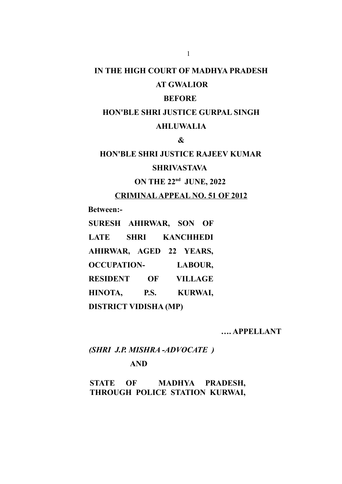# **IN THE HIGH COURT OF MADHYA PRADESH**

# **AT GWALIOR**

# **BEFORE**

# **HON'BLE SHRI JUSTICE GURPAL SINGH AHLUWALIA**

**&**

# **HON'BLE SHRI JUSTICE RAJEEV KUMAR**

### **SHRIVASTAVA**

# **ON THE 22nd JUNE, 2022**

#### **CRIMINAL APPEAL NO. 51 OF 2012**

**Between:-**

**SURESH AHIRWAR, SON OF LATE SHRI KANCHHEDI AHIRWAR, AGED 22 YEARS, OCCUPATION- LABOUR, RESIDENT OF VILLAGE HINOTA, P.S. KURWAI, DISTRICT VIDISHA (MP)**

**…. APPELLANT** 

# *(SHRI J.P. MISHRA -ADVOCATE )*

# **AND**

**STATE OF MADHYA PRADESH, THROUGH POLICE STATION KURWAI,**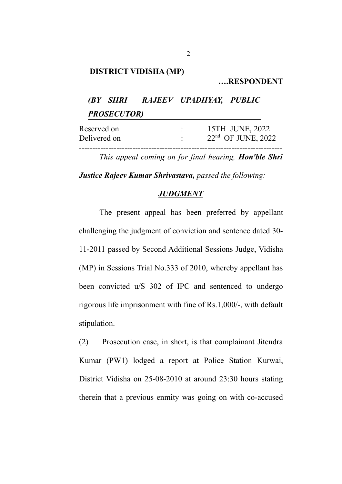#### **DISTRICT VIDISHA (MP)**

**….RESPONDENT**

*(BY SHRI RAJEEV UPADHYAY, PUBLIC PROSECUTOR)*

| Reserved on  | 15TH JUNE, 2022      |  |
|--------------|----------------------|--|
| Delivered on | $22nd$ OF JUNE, 2022 |  |

*This appeal coming on for final hearing, Hon'ble Shri*

*Justice Rajeev Kumar Shrivastava, passed the following:*

#### *JUDGMENT*

The present appeal has been preferred by appellant challenging the judgment of conviction and sentence dated 30- 11-2011 passed by Second Additional Sessions Judge, Vidisha (MP) in Sessions Trial No.333 of 2010, whereby appellant has been convicted u/S 302 of IPC and sentenced to undergo rigorous life imprisonment with fine of Rs.1,000/-, with default stipulation.

(2) Prosecution case, in short, is that complainant Jitendra Kumar (PW1) lodged a report at Police Station Kurwai, District Vidisha on 25-08-2010 at around 23:30 hours stating therein that a previous enmity was going on with co-accused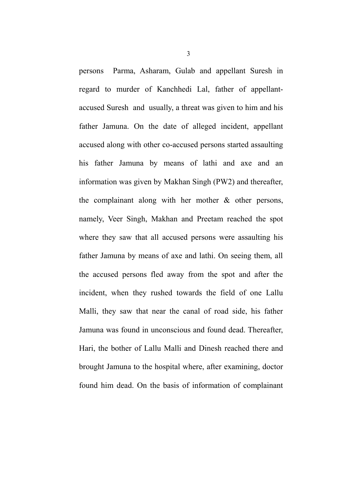persons Parma, Asharam, Gulab and appellant Suresh in regard to murder of Kanchhedi Lal, father of appellantaccused Suresh and usually, a threat was given to him and his father Jamuna. On the date of alleged incident, appellant accused along with other co-accused persons started assaulting his father Jamuna by means of lathi and axe and an information was given by Makhan Singh (PW2) and thereafter, the complainant along with her mother & other persons, namely, Veer Singh, Makhan and Preetam reached the spot where they saw that all accused persons were assaulting his father Jamuna by means of axe and lathi. On seeing them, all the accused persons fled away from the spot and after the incident, when they rushed towards the field of one Lallu Malli, they saw that near the canal of road side, his father Jamuna was found in unconscious and found dead. Thereafter, Hari, the bother of Lallu Malli and Dinesh reached there and brought Jamuna to the hospital where, after examining, doctor found him dead. On the basis of information of complainant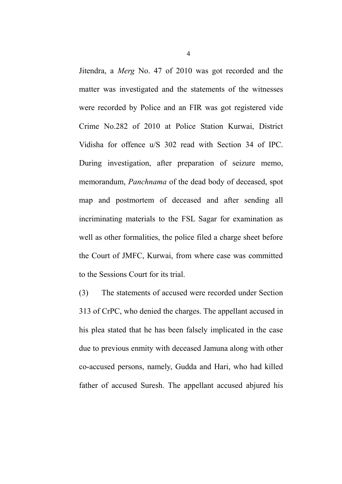Jitendra, a *Merg* No. 47 of 2010 was got recorded and the matter was investigated and the statements of the witnesses were recorded by Police and an FIR was got registered vide Crime No.282 of 2010 at Police Station Kurwai, District Vidisha for offence u/S 302 read with Section 34 of IPC. During investigation, after preparation of seizure memo, memorandum, *Panchnama* of the dead body of deceased, spot map and postmortem of deceased and after sending all incriminating materials to the FSL Sagar for examination as well as other formalities, the police filed a charge sheet before the Court of JMFC, Kurwai, from where case was committed to the Sessions Court for its trial.

(3) The statements of accused were recorded under Section 313 of CrPC, who denied the charges. The appellant accused in his plea stated that he has been falsely implicated in the case due to previous enmity with deceased Jamuna along with other co-accused persons, namely, Gudda and Hari, who had killed father of accused Suresh. The appellant accused abjured his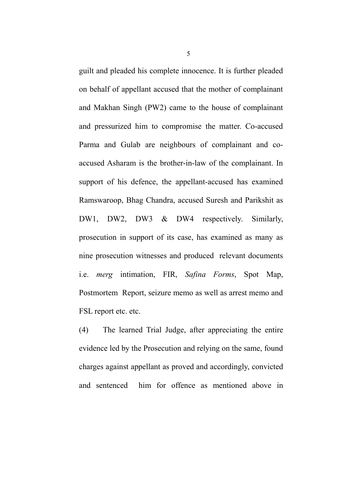guilt and pleaded his complete innocence. It is further pleaded on behalf of appellant accused that the mother of complainant and Makhan Singh (PW2) came to the house of complainant and pressurized him to compromise the matter. Co-accused Parma and Gulab are neighbours of complainant and coaccused Asharam is the brother-in-law of the complainant. In support of his defence, the appellant-accused has examined Ramswaroop, Bhag Chandra, accused Suresh and Parikshit as DW1, DW2, DW3 & DW4 respectively. Similarly, prosecution in support of its case, has examined as many as nine prosecution witnesses and produced relevant documents i.e. *merg* intimation, FIR, *Safina Forms*, Spot Map, Postmortem Report, seizure memo as well as arrest memo and FSL report etc. etc.

(4) The learned Trial Judge, after appreciating the entire evidence led by the Prosecution and relying on the same, found charges against appellant as proved and accordingly, convicted and sentenced him for offence as mentioned above in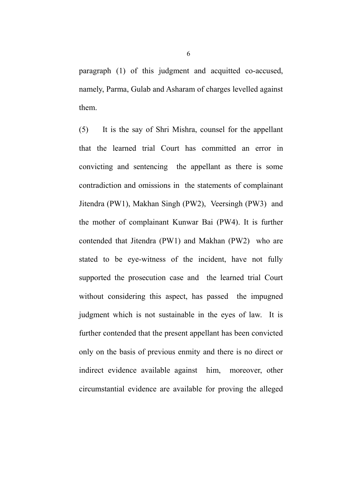paragraph (1) of this judgment and acquitted co-accused, namely, Parma, Gulab and Asharam of charges levelled against them.

(5) It is the say of Shri Mishra, counsel for the appellant that the learned trial Court has committed an error in convicting and sentencing the appellant as there is some contradiction and omissions in the statements of complainant Jitendra (PW1), Makhan Singh (PW2), Veersingh (PW3) and the mother of complainant Kunwar Bai (PW4). It is further contended that Jitendra (PW1) and Makhan (PW2) who are stated to be eye-witness of the incident, have not fully supported the prosecution case and the learned trial Court without considering this aspect, has passed the impugned judgment which is not sustainable in the eyes of law. It is further contended that the present appellant has been convicted only on the basis of previous enmity and there is no direct or indirect evidence available against him, moreover, other circumstantial evidence are available for proving the alleged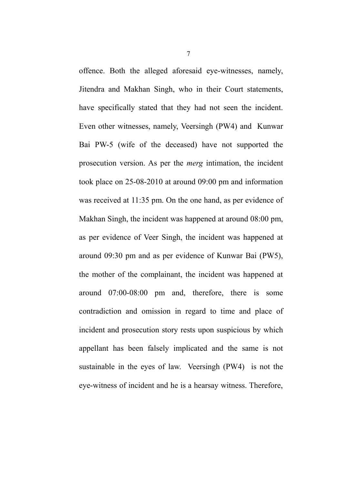offence. Both the alleged aforesaid eye-witnesses, namely, Jitendra and Makhan Singh, who in their Court statements, have specifically stated that they had not seen the incident. Even other witnesses, namely, Veersingh (PW4) and Kunwar Bai PW-5 (wife of the deceased) have not supported the prosecution version. As per the *merg* intimation, the incident took place on 25-08-2010 at around 09:00 pm and information was received at 11:35 pm. On the one hand, as per evidence of Makhan Singh, the incident was happened at around 08:00 pm, as per evidence of Veer Singh, the incident was happened at around 09:30 pm and as per evidence of Kunwar Bai (PW5), the mother of the complainant, the incident was happened at around 07:00-08:00 pm and, therefore, there is some contradiction and omission in regard to time and place of incident and prosecution story rests upon suspicious by which appellant has been falsely implicated and the same is not sustainable in the eyes of law. Veersingh (PW4) is not the eye-witness of incident and he is a hearsay witness. Therefore,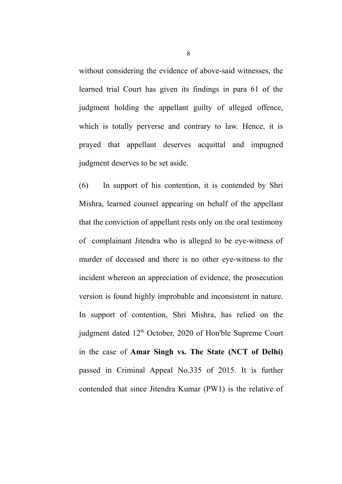without considering the evidence of above-said witnesses, the learned trial Court has given its findings in para 61 of the judgment holding the appellant guilty of alleged offence, which is totally perverse and contrary to law. Hence, it is prayed that appellant deserves acquittal and impugned judgment deserves to be set aside.

(6) In support of his contention, it is contended by Shri Mishra, learned counsel appearing on behalf of the appellant that the conviction of appellant rests only on the oral testimony of complainant Jitendra who is alleged to be eye-witness of murder of deceased and there is no other eye-witness to the incident whereon an appreciation of evidence, the prosecution version is found highly improbable and inconsistent in nature. In support of contention, Shri Mishra, has relied on the judgment dated 12<sup>th</sup> October, 2020 of Hon'ble Supreme Court in the case of **Amar Singh vs. The State (NCT of Delhi)** passed in Criminal Appeal No.335 of 2015. It is further contended that since Jitendra Kumar (PW1) is the relative of

8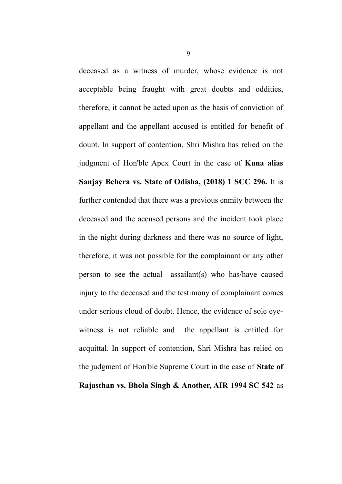deceased as a witness of murder, whose evidence is not acceptable being fraught with great doubts and oddities, therefore, it cannot be acted upon as the basis of conviction of appellant and the appellant accused is entitled for benefit of doubt. In support of contention, Shri Mishra has relied on the judgment of Hon'ble Apex Court in the case of **Kuna alias Sanjay Behera vs. State of Odisha, (2018) 1 SCC 296.** It is further contended that there was a previous enmity between the deceased and the accused persons and the incident took place in the night during darkness and there was no source of light, therefore, it was not possible for the complainant or any other person to see the actual assailant(s) who has/have caused injury to the deceased and the testimony of complainant comes under serious cloud of doubt. Hence, the evidence of sole eyewitness is not reliable and the appellant is entitled for acquittal. In support of contention, Shri Mishra has relied on the judgment of Hon'ble Supreme Court in the case of **State of Rajasthan vs. Bhola Singh & Another, AIR 1994 SC 542** as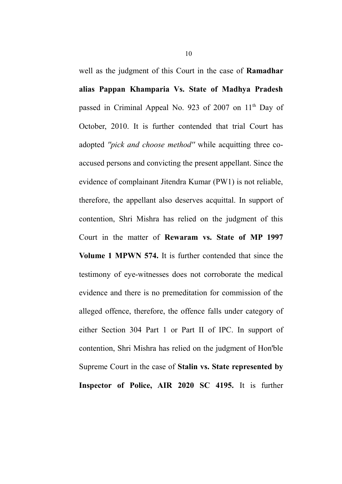well as the judgment of this Court in the case of **Ramadhar alias Pappan Khamparia Vs. State of Madhya Pradesh** passed in Criminal Appeal No. 923 of 2007 on 11<sup>th</sup> Day of October, 2010. It is further contended that trial Court has adopted *''pick and choose method''* while acquitting three coaccused persons and convicting the present appellant. Since the evidence of complainant Jitendra Kumar (PW1) is not reliable, therefore, the appellant also deserves acquittal. In support of contention, Shri Mishra has relied on the judgment of this Court in the matter of **Rewaram vs. State of MP 1997 Volume 1 MPWN 574.** It is further contended that since the testimony of eye-witnesses does not corroborate the medical evidence and there is no premeditation for commission of the alleged offence, therefore, the offence falls under category of either Section 304 Part 1 or Part II of IPC. In support of contention, Shri Mishra has relied on the judgment of Hon'ble Supreme Court in the case of **Stalin vs. State represented by Inspector of Police, AIR 2020 SC 4195.** It is further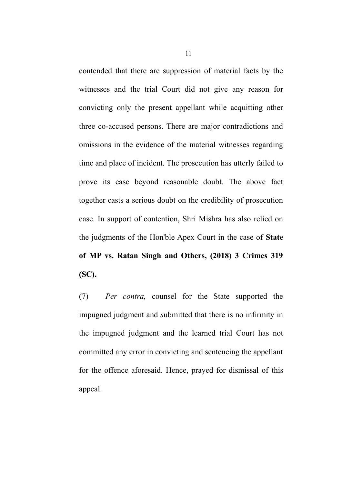contended that there are suppression of material facts by the witnesses and the trial Court did not give any reason for convicting only the present appellant while acquitting other three co-accused persons. There are major contradictions and omissions in the evidence of the material witnesses regarding time and place of incident. The prosecution has utterly failed to prove its case beyond reasonable doubt. The above fact together casts a serious doubt on the credibility of prosecution case. In support of contention, Shri Mishra has also relied on the judgments of the Hon'ble Apex Court in the case of **State of MP vs. Ratan Singh and Others, (2018) 3 Crimes 319 (SC).** 

(7) *Per contra,* counsel for the State supported the impugned judgment and *s*ubmitted that there is no infirmity in the impugned judgment and the learned trial Court has not committed any error in convicting and sentencing the appellant for the offence aforesaid. Hence, prayed for dismissal of this appeal.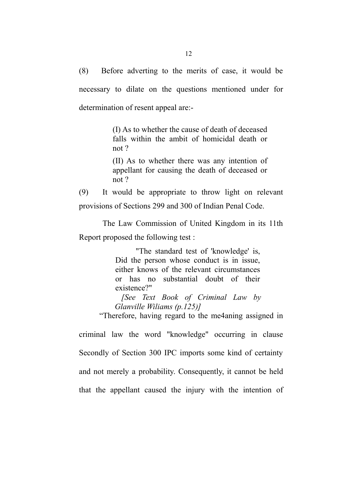(8) Before adverting to the merits of case, it would be necessary to dilate on the questions mentioned under for determination of resent appeal are:-

> (I) As to whether the cause of death of deceased falls within the ambit of homicidal death or not ?

> (II) As to whether there was any intention of appellant for causing the death of deceased or not ?

(9) It would be appropriate to throw light on relevant provisions of Sections 299 and 300 of Indian Penal Code.

 The Law Commission of United Kingdom in its 11th Report proposed the following test :

> "The standard test of 'knowledge' is, Did the person whose conduct is in issue, either knows of the relevant circumstances or has no substantial doubt of their existence?"

 *[See Text Book of Criminal Law by Glanville Wiliams (p.125)]* 

"Therefore, having regard to the me4aning assigned in

criminal law the word "knowledge" occurring in clause Secondly of Section 300 IPC imports some kind of certainty and not merely a probability. Consequently, it cannot be held that the appellant caused the injury with the intention of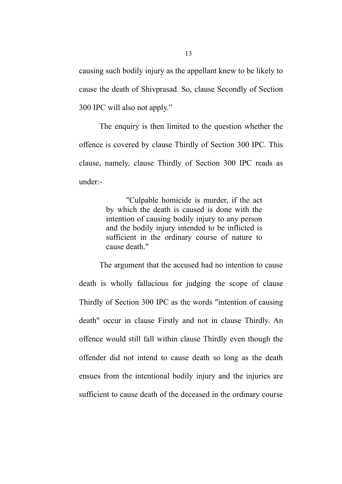causing such bodily injury as the appellant knew to be likely to cause the death of Shivprasad. So, clause Secondly of Section 300 IPC will also not apply."

The enquiry is then limited to the question whether the offence is covered by clause Thirdly of Section 300 IPC. This clause, namely, clause Thirdly of Section 300 IPC reads as under:-

> ''Culpable homicide is murder, if the act by which the death is caused is done with the intention of causing bodily injury to any person and the bodily injury intended to be inflicted is sufficient in the ordinary course of nature to cause death."

The argument that the accused had no intention to cause death is wholly fallacious for judging the scope of clause Thirdly of Section 300 IPC as the words "intention of causing death" occur in clause Firstly and not in clause Thirdly. An offence would still fall within clause Thirdly even though the offender did not intend to cause death so long as the death ensues from the intentional bodily injury and the injuries are sufficient to cause death of the deceased in the ordinary course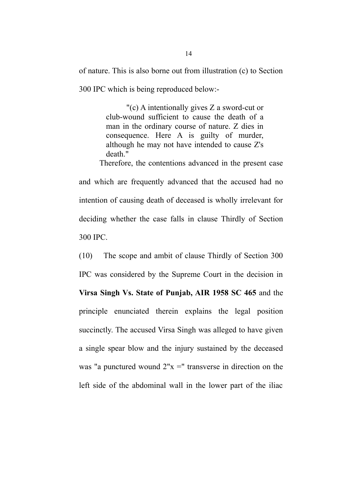of nature. This is also borne out from illustration (c) to Section 300 IPC which is being reproduced below:-

> "(c) A intentionally gives Z a sword-cut or club-wound sufficient to cause the death of a man in the ordinary course of nature. Z dies in consequence. Here A is guilty of murder, although he may not have intended to cause Z's death."

Therefore, the contentions advanced in the present case and which are frequently advanced that the accused had no intention of causing death of deceased is wholly irrelevant for deciding whether the case falls in clause Thirdly of Section 300 IPC.

(10) The scope and ambit of clause Thirdly of Section 300 IPC was considered by the Supreme Court in the decision in **Virsa Singh Vs. State of Punjab, AIR 1958 SC 465** and the principle enunciated therein explains the legal position succinctly. The accused Virsa Singh was alleged to have given a single spear blow and the injury sustained by the deceased was "a punctured wound  $2"x ="$  transverse in direction on the left side of the abdominal wall in the lower part of the iliac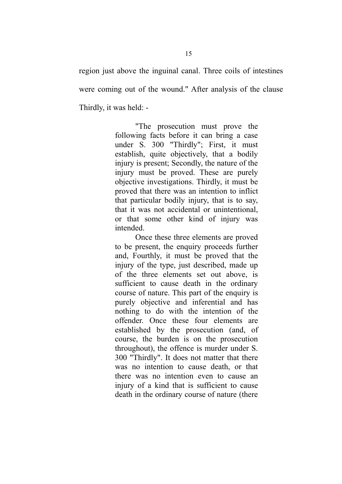region just above the inguinal canal. Three coils of intestines were coming out of the wound." After analysis of the clause Thirdly, it was held: -

> "The prosecution must prove the following facts before it can bring a case under S. 300 "Thirdly"; First, it must establish, quite objectively, that a bodily injury is present; Secondly, the nature of the injury must be proved. These are purely objective investigations. Thirdly, it must be proved that there was an intention to inflict that particular bodily injury, that is to say, that it was not accidental or unintentional, or that some other kind of injury was intended.

> Once these three elements are proved to be present, the enquiry proceeds further and, Fourthly, it must be proved that the injury of the type, just described, made up of the three elements set out above, is sufficient to cause death in the ordinary course of nature. This part of the enquiry is purely objective and inferential and has nothing to do with the intention of the offender. Once these four elements are established by the prosecution (and, of course, the burden is on the prosecution throughout), the offence is murder under S. 300 "Thirdly". It does not matter that there was no intention to cause death, or that there was no intention even to cause an injury of a kind that is sufficient to cause death in the ordinary course of nature (there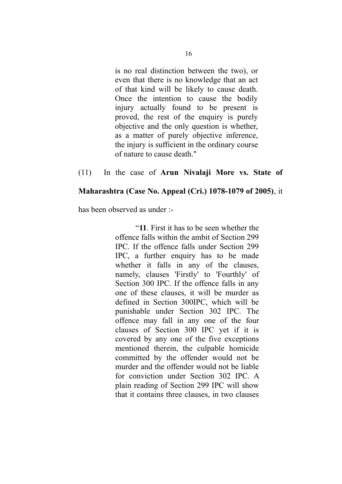is no real distinction between the two), or even that there is no knowledge that an act of that kind will be likely to cause death. Once the intention to cause the bodily injury actually found to be present is proved, the rest of the enquiry is purely objective and the only question is whether, as a matter of purely objective inference, the injury is sufficient in the ordinary course of nature to cause death."

#### (11) In the case of **Arun Nivalaji More vs. State of**

#### **Maharashtra (Case No. Appeal (Cri.) 1078-1079 of 2005)**, it

has been observed as under :-

"**11**. First it has to be seen whether the offence falls within the ambit of Section 299 IPC. If the offence falls under Section 299 IPC, a further enquiry has to be made whether it falls in any of the clauses, namely, clauses 'Firstly' to 'Fourthly' of Section 300 IPC. If the offence falls in any one of these clauses, it will be murder as defined in Section 300IPC, which will be punishable under Section 302 IPC. The offence may fall in any one of the four clauses of Section 300 IPC yet if it is covered by any one of the five exceptions mentioned therein, the culpable homicide committed by the offender would not be murder and the offender would not be liable for conviction under Section 302 IPC. A plain reading of Section 299 IPC will show that it contains three clauses, in two clauses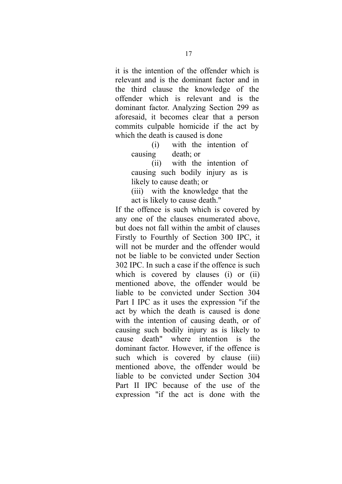it is the intention of the offender which is relevant and is the dominant factor and in the third clause the knowledge of the offender which is relevant and is the dominant factor. Analyzing Section 299 as aforesaid, it becomes clear that a person commits culpable homicide if the act by which the death is caused is done

> (i) with the intention of causing death; or

> (ii) with the intention of causing such bodily injury as is likely to cause death; or

> (iii) with the knowledge that the act is likely to cause death."

If the offence is such which is covered by any one of the clauses enumerated above, but does not fall within the ambit of clauses Firstly to Fourthly of Section 300 IPC, it will not be murder and the offender would not be liable to be convicted under Section 302 IPC. In such a case if the offence is such which is covered by clauses (i) or (ii) mentioned above, the offender would be liable to be convicted under Section 304 Part I IPC as it uses the expression "if the act by which the death is caused is done with the intention of causing death, or of causing such bodily injury as is likely to cause death" where intention is the dominant factor. However, if the offence is such which is covered by clause (iii) mentioned above, the offender would be liable to be convicted under Section 304 Part II IPC because of the use of the expression "if the act is done with the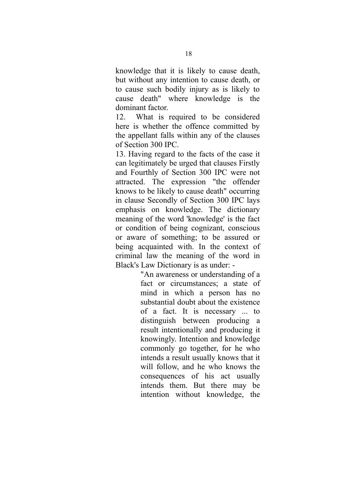knowledge that it is likely to cause death, but without any intention to cause death, or to cause such bodily injury as is likely to cause death" where knowledge is the dominant factor.

12. What is required to be considered here is whether the offence committed by the appellant falls within any of the clauses of Section 300 IPC.

13. Having regard to the facts of the case it can legitimately be urged that clauses Firstly and Fourthly of Section 300 IPC were not attracted. The expression "the offender knows to be likely to cause death" occurring in clause Secondly of Section 300 IPC lays emphasis on knowledge. The dictionary meaning of the word 'knowledge' is the fact or condition of being cognizant, conscious or aware of something; to be assured or being acquainted with. In the context of criminal law the meaning of the word in Black's Law Dictionary is as under: -

> "An awareness or understanding of a fact or circumstances; a state of mind in which a person has no substantial doubt about the existence of a fact. It is necessary ... to distinguish between producing a result intentionally and producing it knowingly. Intention and knowledge commonly go together, for he who intends a result usually knows that it will follow, and he who knows the consequences of his act usually intends them. But there may be intention without knowledge, the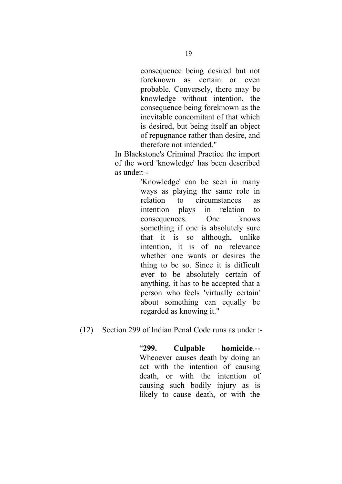consequence being desired but not foreknown as certain or even probable. Conversely, there may be knowledge without intention, the consequence being foreknown as the inevitable concomitant of that which is desired, but being itself an object of repugnance rather than desire, and therefore not intended."

In Blackstone's Criminal Practice the import of the word 'knowledge' has been described as under: -

> 'Knowledge' can be seen in many ways as playing the same role in relation to circumstances as intention plays in relation to consequences. One knows something if one is absolutely sure that it is so although, unlike intention, it is of no relevance whether one wants or desires the thing to be so. Since it is difficult ever to be absolutely certain of anything, it has to be accepted that a person who feels 'virtually certain' about something can equally be regarded as knowing it."

# (12) Section 299 of Indian Penal Code runs as under :-

"**299. Culpable homicide**.-- Wheoever causes death by doing an act with the intention of causing death, or with the intention of causing such bodily injury as is likely to cause death, or with the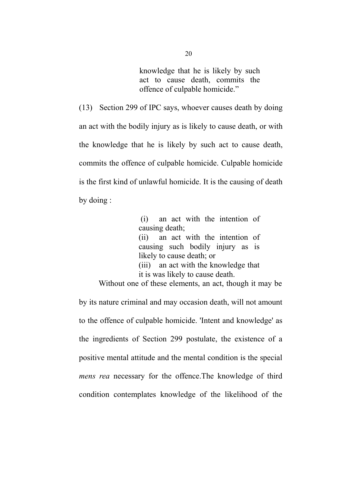knowledge that he is likely by such act to cause death, commits the offence of culpable homicide."

(13) Section 299 of IPC says, whoever causes death by doing an act with the bodily injury as is likely to cause death, or with the knowledge that he is likely by such act to cause death, commits the offence of culpable homicide. Culpable homicide is the first kind of unlawful homicide. It is the causing of death by doing :

> (i) an act with the intention of causing death; (ii) an act with the intention of causing such bodily injury as is likely to cause death; or (iii) an act with the knowledge that it is was likely to cause death.

 Without one of these elements, an act, though it may be by its nature criminal and may occasion death, will not amount to the offence of culpable homicide. 'Intent and knowledge' as the ingredients of Section 299 postulate, the existence of a positive mental attitude and the mental condition is the special *mens rea* necessary for the offence.The knowledge of third condition contemplates knowledge of the likelihood of the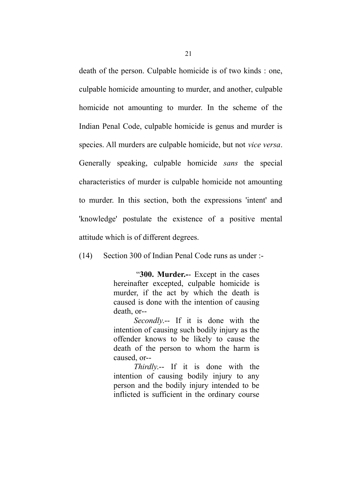death of the person. Culpable homicide is of two kinds : one, culpable homicide amounting to murder, and another, culpable homicide not amounting to murder. In the scheme of the Indian Penal Code, culpable homicide is genus and murder is species. All murders are culpable homicide, but not *vice versa*. Generally speaking, culpable homicide *sans* the special characteristics of murder is culpable homicide not amounting to murder. In this section, both the expressions 'intent' and 'knowledge' postulate the existence of a positive mental attitude which is of different degrees.

(14) Section 300 of Indian Penal Code runs as under :-

 "**300. Murder.-**- Except in the cases hereinafter excepted, culpable homicide is murder, if the act by which the death is caused is done with the intention of causing death, or--

*Secondly*.-- If it is done with the intention of causing such bodily injury as the offender knows to be likely to cause the death of the person to whom the harm is caused, or--

*Thirdly*.-- If it is done with the intention of causing bodily injury to any person and the bodily injury intended to be inflicted is sufficient in the ordinary course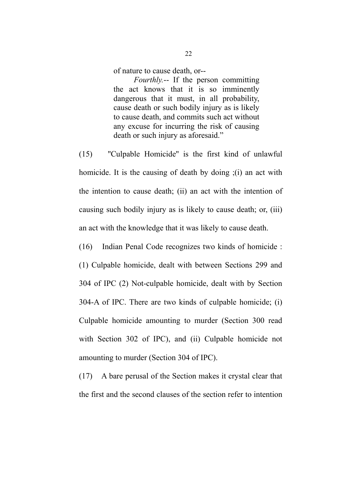of nature to cause death, or--

*Fourthly.*-- If the person committing the act knows that it is so imminently dangerous that it must, in all probability, cause death or such bodily injury as is likely to cause death, and commits such act without any excuse for incurring the risk of causing death or such injury as aforesaid."

(15) ''Culpable Homicide'' is the first kind of unlawful homicide. It is the causing of death by doing  $(1)$  an act with the intention to cause death; (ii) an act with the intention of causing such bodily injury as is likely to cause death; or, (iii) an act with the knowledge that it was likely to cause death.

(16) Indian Penal Code recognizes two kinds of homicide : (1) Culpable homicide, dealt with between Sections 299 and 304 of IPC (2) Not-culpable homicide, dealt with by Section 304-A of IPC. There are two kinds of culpable homicide; (i) Culpable homicide amounting to murder (Section 300 read with Section 302 of IPC), and (ii) Culpable homicide not amounting to murder (Section 304 of IPC).

(17) A bare perusal of the Section makes it crystal clear that the first and the second clauses of the section refer to intention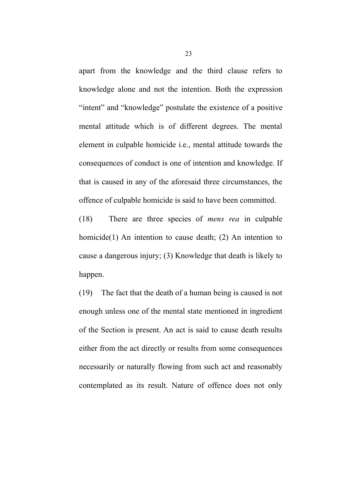apart from the knowledge and the third clause refers to knowledge alone and not the intention. Both the expression "intent" and "knowledge" postulate the existence of a positive mental attitude which is of different degrees. The mental element in culpable homicide i.e., mental attitude towards the consequences of conduct is one of intention and knowledge. If that is caused in any of the aforesaid three circumstances, the offence of culpable homicide is said to have been committed.

(18) There are three species of *mens rea* in culpable homicide(1) An intention to cause death; (2) An intention to cause a dangerous injury; (3) Knowledge that death is likely to happen.

(19) The fact that the death of a human being is caused is not enough unless one of the mental state mentioned in ingredient of the Section is present. An act is said to cause death results either from the act directly or results from some consequences necessarily or naturally flowing from such act and reasonably contemplated as its result. Nature of offence does not only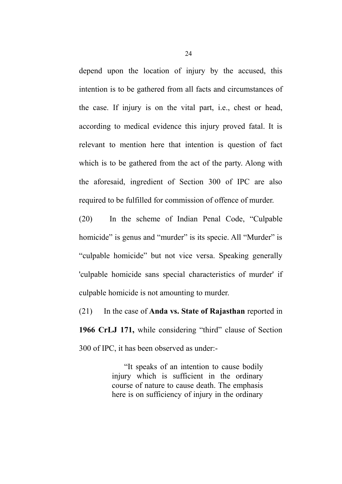depend upon the location of injury by the accused, this intention is to be gathered from all facts and circumstances of the case. If injury is on the vital part, i.e., chest or head, according to medical evidence this injury proved fatal. It is relevant to mention here that intention is question of fact which is to be gathered from the act of the party. Along with the aforesaid, ingredient of Section 300 of IPC are also required to be fulfilled for commission of offence of murder.

(20) In the scheme of Indian Penal Code, "Culpable homicide" is genus and "murder" is its specie. All "Murder" is "culpable homicide" but not vice versa. Speaking generally 'culpable homicide sans special characteristics of murder' if culpable homicide is not amounting to murder.

(21) In the case of **Anda vs. State of Rajasthan** reported in **1966 CrLJ 171,** while considering "third" clause of Section 300 of IPC, it has been observed as under:-

> "It speaks of an intention to cause bodily injury which is sufficient in the ordinary course of nature to cause death. The emphasis here is on sufficiency of injury in the ordinary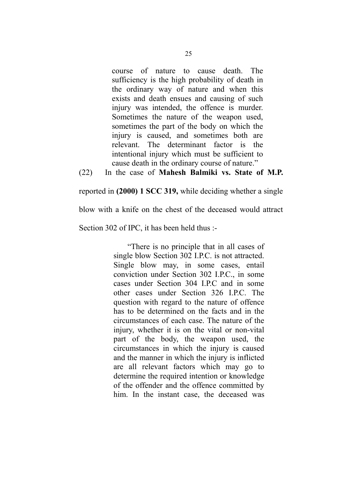course of nature to cause death. The sufficiency is the high probability of death in the ordinary way of nature and when this exists and death ensues and causing of such injury was intended, the offence is murder. Sometimes the nature of the weapon used, sometimes the part of the body on which the injury is caused, and sometimes both are relevant. The determinant factor is the intentional injury which must be sufficient to cause death in the ordinary course of nature."

(22) In the case of **Mahesh Balmiki vs. State of M.P.**

reported in **(2000) 1 SCC 319,** while deciding whether a single

blow with a knife on the chest of the deceased would attract

Section 302 of IPC, it has been held thus :-

 "There is no principle that in all cases of single blow Section 302 I.P.C. is not attracted. Single blow may, in some cases, entail conviction under Section 302 I.P.C., in some cases under Section 304 I.P.C and in some other cases under Section 326 I.P.C. The question with regard to the nature of offence has to be determined on the facts and in the circumstances of each case. The nature of the injury, whether it is on the vital or non-vital part of the body, the weapon used, the circumstances in which the injury is caused and the manner in which the injury is inflicted are all relevant factors which may go to determine the required intention or knowledge of the offender and the offence committed by him. In the instant case, the deceased was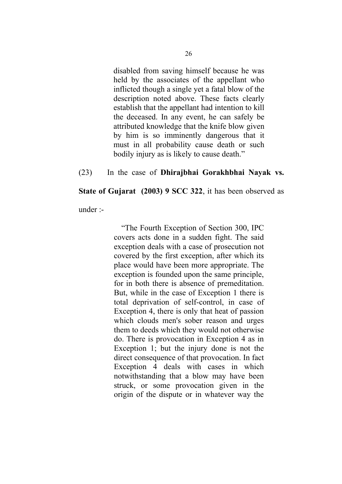disabled from saving himself because he was held by the associates of the appellant who inflicted though a single yet a fatal blow of the description noted above. These facts clearly establish that the appellant had intention to kill the deceased. In any event, he can safely be attributed knowledge that the knife blow given by him is so imminently dangerous that it must in all probability cause death or such bodily injury as is likely to cause death."

#### (23) In the case of **Dhirajbhai Gorakhbhai Nayak vs.**

**State of Gujarat (2003) 9 SCC 322**, it has been observed as

under :-

 "The Fourth Exception of Section 300, IPC covers acts done in a sudden fight. The said exception deals with a case of prosecution not covered by the first exception, after which its place would have been more appropriate. The exception is founded upon the same principle, for in both there is absence of premeditation. But, while in the case of Exception 1 there is total deprivation of self-control, in case of Exception 4, there is only that heat of passion which clouds men's sober reason and urges them to deeds which they would not otherwise do. There is provocation in Exception 4 as in Exception 1; but the injury done is not the direct consequence of that provocation. In fact Exception 4 deals with cases in which notwithstanding that a blow may have been struck, or some provocation given in the origin of the dispute or in whatever way the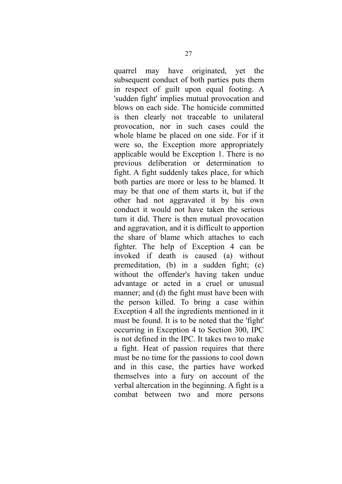quarrel may have originated, yet the subsequent conduct of both parties puts them in respect of guilt upon equal footing. A 'sudden fight' implies mutual provocation and blows on each side. The homicide committed is then clearly not traceable to unilateral provocation, nor in such cases could the whole blame be placed on one side. For if it were so, the Exception more appropriately applicable would be Exception 1. There is no previous deliberation or determination to fight. A fight suddenly takes place, for which both parties are more or less to be blamed. It may be that one of them starts it, but if the other had not aggravated it by his own conduct it would not have taken the serious turn it did. There is then mutual provocation and aggravation, and it is difficult to apportion the share of blame which attaches to each fighter. The help of Exception 4 can be invoked if death is caused (a) without premeditation, (b) in a sudden fight; (c) without the offender's having taken undue advantage or acted in a cruel or unusual manner; and (d) the fight must have been with the person killed. To bring a case within Exception 4 all the ingredients mentioned in it must be found. It is to be noted that the 'fight' occurring in Exception 4 to Section 300, IPC is not defined in the IPC. It takes two to make a fight. Heat of passion requires that there must be no time for the passions to cool down and in this case, the parties have worked themselves into a fury on account of the verbal altercation in the beginning. A fight is a combat between two and more persons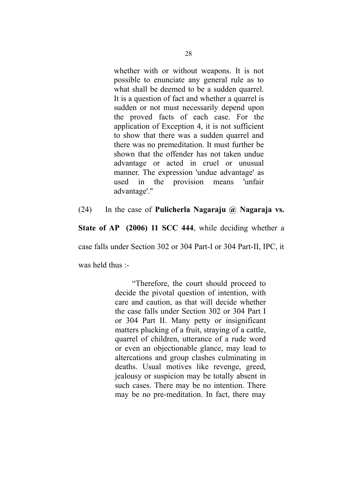whether with or without weapons. It is not possible to enunciate any general rule as to what shall be deemed to be a sudden quarrel. It is a question of fact and whether a quarrel is sudden or not must necessarily depend upon the proved facts of each case. For the application of Exception 4, it is not sufficient to show that there was a sudden quarrel and there was no premeditation. It must further be shown that the offender has not taken undue advantage or acted in cruel or unusual manner. The expression 'undue advantage' as used in the provision means 'unfair advantage'.''

# (24) In the case of **Pulicherla Nagaraju @ Nagaraja vs.**

**State of AP** (2006) 11 SCC 444, while deciding whether a

case falls under Section 302 or 304 Part-I or 304 Part-II, IPC, it

was held thus :-

 "Therefore, the court should proceed to decide the pivotal question of intention, with care and caution, as that will decide whether the case falls under Section 302 or 304 Part I or 304 Part II. Many petty or insignificant matters plucking of a fruit, straying of a cattle, quarrel of children, utterance of a rude word or even an objectionable glance, may lead to altercations and group clashes culminating in deaths. Usual motives like revenge, greed, jealousy or suspicion may be totally absent in such cases. There may be no intention. There may be no pre-meditation. In fact, there may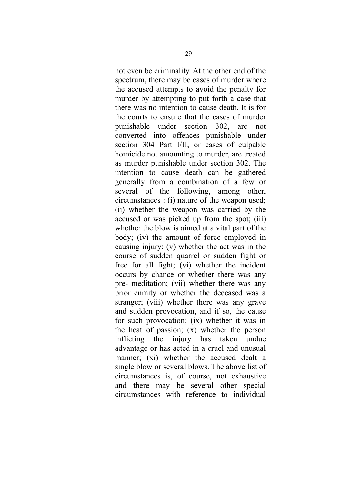not even be criminality. At the other end of the spectrum, there may be cases of murder where the accused attempts to avoid the penalty for murder by attempting to put forth a case that there was no intention to cause death. It is for the courts to ensure that the cases of murder punishable under section 302, are not converted into offences punishable under section 304 Part I/II, or cases of culpable homicide not amounting to murder, are treated as murder punishable under section 302. The intention to cause death can be gathered generally from a combination of a few or several of the following, among other, circumstances : (i) nature of the weapon used; (ii) whether the weapon was carried by the accused or was picked up from the spot; (iii) whether the blow is aimed at a vital part of the body; (iv) the amount of force employed in causing injury; (v) whether the act was in the course of sudden quarrel or sudden fight or free for all fight; (vi) whether the incident occurs by chance or whether there was any pre- meditation; (vii) whether there was any prior enmity or whether the deceased was a stranger; (viii) whether there was any grave and sudden provocation, and if so, the cause for such provocation; (ix) whether it was in the heat of passion; (x) whether the person inflicting the injury has taken undue advantage or has acted in a cruel and unusual manner; (xi) whether the accused dealt a single blow or several blows. The above list of circumstances is, of course, not exhaustive and there may be several other special circumstances with reference to individual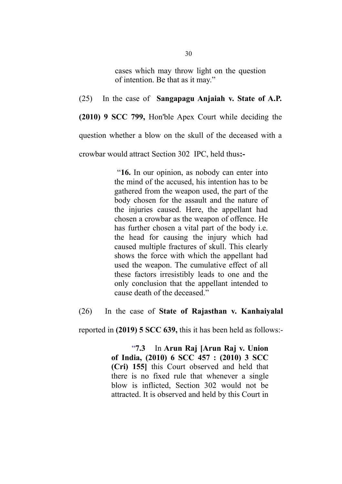cases which may throw light on the question of intention. Be that as it may."

(25) In the case of **Sangapagu Anjaiah v. State of A.P.**

**(2010) 9 SCC 799,** Hon'ble Apex Court while deciding the

question whether a blow on the skull of the deceased with a

crowbar would attract Section 302 IPC, held thus**:-**

 "**16.** In our opinion, as nobody can enter into the mind of the accused, his intention has to be gathered from the weapon used, the part of the body chosen for the assault and the nature of the injuries caused. Here, the appellant had chosen a crowbar as the weapon of offence. He has further chosen a vital part of the body i.e. the head for causing the injury which had caused multiple fractures of skull. This clearly shows the force with which the appellant had used the weapon. The cumulative effect of all these factors irresistibly leads to one and the only conclusion that the appellant intended to cause death of the deceased."

(26) In the case of **State of Rajasthan v. Kanhaiyalal**

reported in **(2019) 5 SCC 639,** this it has been held as follows:-

 "**7.3** In **Arun Raj [Arun Raj v. Union of India, (2010) 6 SCC 457 : (2010) 3 SCC (Cri) 155]** this Court observed and held that there is no fixed rule that whenever a single blow is inflicted, Section 302 would not be attracted. It is observed and held by this Court in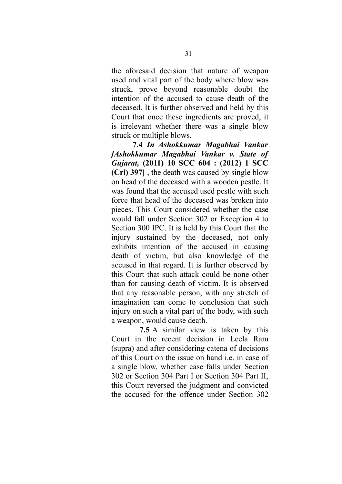the aforesaid decision that nature of weapon used and vital part of the body where blow was struck, prove beyond reasonable doubt the intention of the accused to cause death of the deceased. It is further observed and held by this Court that once these ingredients are proved, it is irrelevant whether there was a single blow struck or multiple blows.

 **7.4** *In Ashokkumar Magabhai Vankar [Ashokkumar Magabhai Vankar v. State of Gujarat,* **(2011) 10 SCC 604 : (2012) 1 SCC (Cri) 397]** , the death was caused by single blow on head of the deceased with a wooden pestle. It was found that the accused used pestle with such force that head of the deceased was broken into pieces. This Court considered whether the case would fall under Section 302 or Exception 4 to Section 300 IPC. It is held by this Court that the injury sustained by the deceased, not only exhibits intention of the accused in causing death of victim, but also knowledge of the accused in that regard. It is further observed by this Court that such attack could be none other than for causing death of victim. It is observed that any reasonable person, with any stretch of imagination can come to conclusion that such injury on such a vital part of the body, with such a weapon, would cause death.

 **7.5** A similar view is taken by this Court in the recent decision in Leela Ram (supra) and after considering catena of decisions of this Court on the issue on hand i.e. in case of a single blow, whether case falls under Section 302 or Section 304 Part I or Section 304 Part II, this Court reversed the judgment and convicted the accused for the offence under Section 302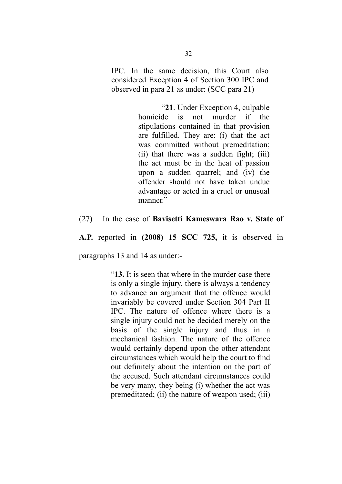IPC. In the same decision, this Court also considered Exception 4 of Section 300 IPC and observed in para 21 as under: (SCC para 21)

> "**21**. Under Exception 4, culpable homicide is not murder if the stipulations contained in that provision are fulfilled. They are: (i) that the act was committed without premeditation; (ii) that there was a sudden fight; (iii) the act must be in the heat of passion upon a sudden quarrel; and (iv) the offender should not have taken undue advantage or acted in a cruel or unusual manner."

#### (27) In the case of **Bavisetti Kameswara Rao v. State of**

**A.P.** reported in **(2008) 15 SCC 725,** it is observed in

paragraphs 13 and 14 as under:-

"**13.** It is seen that where in the murder case there is only a single injury, there is always a tendency to advance an argument that the offence would invariably be covered under Section 304 Part II IPC. The nature of offence where there is a single injury could not be decided merely on the basis of the single injury and thus in a mechanical fashion. The nature of the offence would certainly depend upon the other attendant circumstances which would help the court to find out definitely about the intention on the part of the accused. Such attendant circumstances could be very many, they being (i) whether the act was premeditated; (ii) the nature of weapon used; (iii)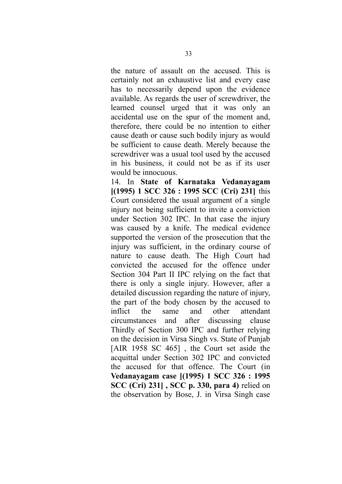the nature of assault on the accused. This is certainly not an exhaustive list and every case has to necessarily depend upon the evidence available. As regards the user of screwdriver, the learned counsel urged that it was only an accidental use on the spur of the moment and, therefore, there could be no intention to either cause death or cause such bodily injury as would be sufficient to cause death. Merely because the screwdriver was a usual tool used by the accused in his business, it could not be as if its user would be innocuous.

14. In **State of Karnataka Vedanayagam [(1995) 1 SCC 326 : 1995 SCC (Cri) 231]** this Court considered the usual argument of a single injury not being sufficient to invite a conviction under Section 302 IPC. In that case the injury was caused by a knife. The medical evidence supported the version of the prosecution that the injury was sufficient, in the ordinary course of nature to cause death. The High Court had convicted the accused for the offence under Section 304 Part II IPC relying on the fact that there is only a single injury. However, after a detailed discussion regarding the nature of injury, the part of the body chosen by the accused to inflict the same and other attendant circumstances and after discussing clause Thirdly of Section 300 IPC and further relying on the decision in Virsa Singh vs. State of Punjab [AIR 1958 SC 465], the Court set aside the acquittal under Section 302 IPC and convicted the accused for that offence. The Court (in **Vedanayagam case [(1995) 1 SCC 326 : 1995 SCC (Cri) 231] , SCC p. 330, para 4)** relied on the observation by Bose, J. in Virsa Singh case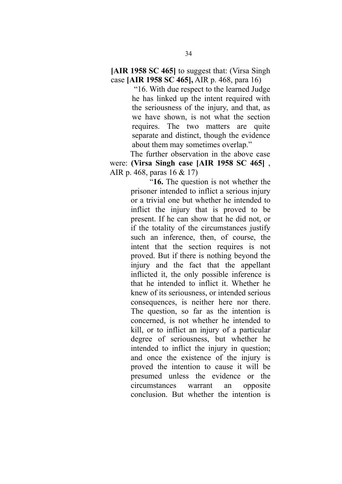**[AIR 1958 SC 465]** to suggest that: (Virsa Singh case **[AIR 1958 SC 465],** AIR p. 468, para 16)

> "16. With due respect to the learned Judge he has linked up the intent required with the seriousness of the injury, and that, as we have shown, is not what the section requires. The two matters are quite separate and distinct, though the evidence about them may sometimes overlap."

 The further observation in the above case were: **(Virsa Singh case [AIR 1958 SC 465]** , AIR p. 468, paras 16 & 17)

> "**16.** The question is not whether the prisoner intended to inflict a serious injury or a trivial one but whether he intended to inflict the injury that is proved to be present. If he can show that he did not, or if the totality of the circumstances justify such an inference, then, of course, the intent that the section requires is not proved. But if there is nothing beyond the injury and the fact that the appellant inflicted it, the only possible inference is that he intended to inflict it. Whether he knew of its seriousness, or intended serious consequences, is neither here nor there. The question, so far as the intention is concerned, is not whether he intended to kill, or to inflict an injury of a particular degree of seriousness, but whether he intended to inflict the injury in question; and once the existence of the injury is proved the intention to cause it will be presumed unless the evidence or the circumstances warrant an opposite conclusion. But whether the intention is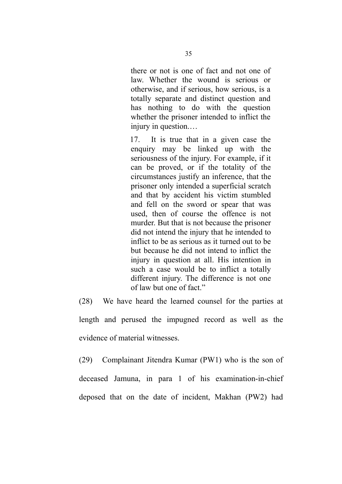there or not is one of fact and not one of law. Whether the wound is serious or otherwise, and if serious, how serious, is a totally separate and distinct question and has nothing to do with the question whether the prisoner intended to inflict the injury in question.…

17. It is true that in a given case the enquiry may be linked up with the seriousness of the injury. For example, if it can be proved, or if the totality of the circumstances justify an inference, that the prisoner only intended a superficial scratch and that by accident his victim stumbled and fell on the sword or spear that was used, then of course the offence is not murder. But that is not because the prisoner did not intend the injury that he intended to inflict to be as serious as it turned out to be but because he did not intend to inflict the injury in question at all. His intention in such a case would be to inflict a totally different injury. The difference is not one of law but one of fact."

(28) We have heard the learned counsel for the parties at length and perused the impugned record as well as the evidence of material witnesses.

(29) Complainant Jitendra Kumar (PW1) who is the son of deceased Jamuna, in para 1 of his examination-in-chief deposed that on the date of incident, Makhan (PW2) had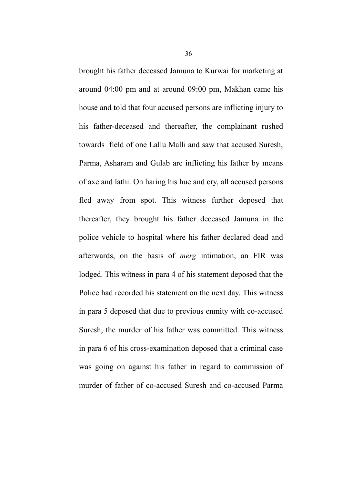brought his father deceased Jamuna to Kurwai for marketing at around 04:00 pm and at around 09:00 pm, Makhan came his house and told that four accused persons are inflicting injury to his father-deceased and thereafter, the complainant rushed towards field of one Lallu Malli and saw that accused Suresh, Parma, Asharam and Gulab are inflicting his father by means of axe and lathi. On haring his hue and cry, all accused persons fled away from spot. This witness further deposed that thereafter, they brought his father deceased Jamuna in the police vehicle to hospital where his father declared dead and afterwards, on the basis of *merg* intimation, an FIR was lodged. This witness in para 4 of his statement deposed that the Police had recorded his statement on the next day. This witness in para 5 deposed that due to previous enmity with co-accused Suresh, the murder of his father was committed. This witness in para 6 of his cross-examination deposed that a criminal case was going on against his father in regard to commission of murder of father of co-accused Suresh and co-accused Parma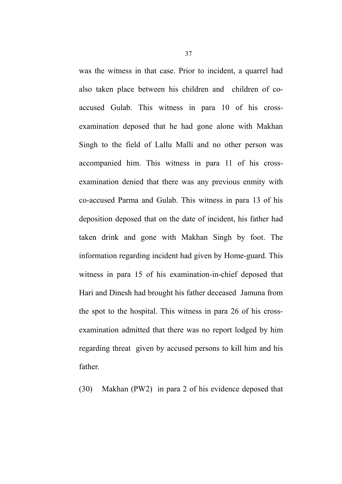was the witness in that case. Prior to incident, a quarrel had also taken place between his children and children of coaccused Gulab. This witness in para 10 of his crossexamination deposed that he had gone alone with Makhan Singh to the field of Lallu Malli and no other person was accompanied him. This witness in para 11 of his crossexamination denied that there was any previous enmity with co-accused Parma and Gulab. This witness in para 13 of his deposition deposed that on the date of incident, his father had taken drink and gone with Makhan Singh by foot. The information regarding incident had given by Home-guard. This witness in para 15 of his examination-in-chief deposed that Hari and Dinesh had brought his father deceased Jamuna from the spot to the hospital. This witness in para 26 of his crossexamination admitted that there was no report lodged by him regarding threat given by accused persons to kill him and his father.

(30) Makhan (PW2) in para 2 of his evidence deposed that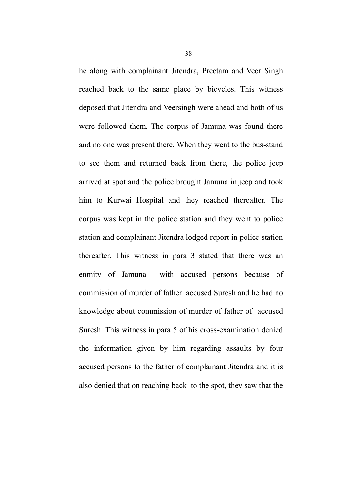he along with complainant Jitendra, Preetam and Veer Singh reached back to the same place by bicycles. This witness deposed that Jitendra and Veersingh were ahead and both of us were followed them. The corpus of Jamuna was found there and no one was present there. When they went to the bus-stand to see them and returned back from there, the police jeep arrived at spot and the police brought Jamuna in jeep and took him to Kurwai Hospital and they reached thereafter. The corpus was kept in the police station and they went to police station and complainant Jitendra lodged report in police station thereafter. This witness in para 3 stated that there was an enmity of Jamuna with accused persons because of commission of murder of father accused Suresh and he had no knowledge about commission of murder of father of accused Suresh. This witness in para 5 of his cross-examination denied the information given by him regarding assaults by four accused persons to the father of complainant Jitendra and it is also denied that on reaching back to the spot, they saw that the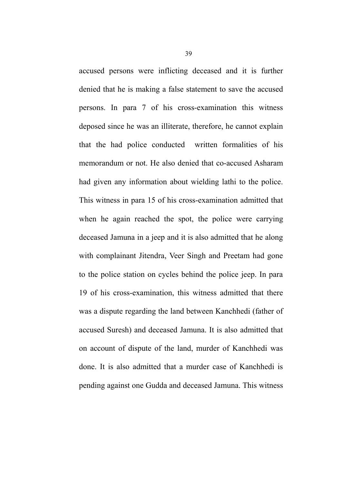accused persons were inflicting deceased and it is further denied that he is making a false statement to save the accused persons. In para 7 of his cross-examination this witness deposed since he was an illiterate, therefore, he cannot explain that the had police conducted written formalities of his memorandum or not. He also denied that co-accused Asharam had given any information about wielding lathi to the police. This witness in para 15 of his cross-examination admitted that when he again reached the spot, the police were carrying deceased Jamuna in a jeep and it is also admitted that he along with complainant Jitendra, Veer Singh and Preetam had gone to the police station on cycles behind the police jeep. In para 19 of his cross-examination, this witness admitted that there was a dispute regarding the land between Kanchhedi (father of accused Suresh) and deceased Jamuna. It is also admitted that on account of dispute of the land, murder of Kanchhedi was done. It is also admitted that a murder case of Kanchhedi is pending against one Gudda and deceased Jamuna. This witness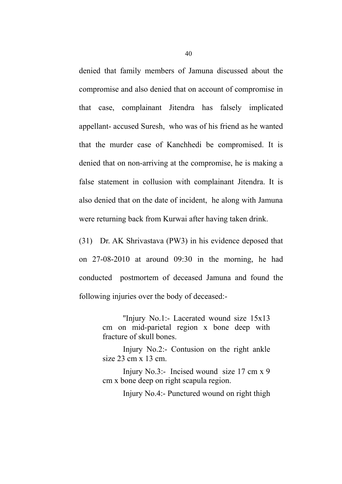denied that family members of Jamuna discussed about the compromise and also denied that on account of compromise in that case, complainant Jitendra has falsely implicated appellant- accused Suresh, who was of his friend as he wanted that the murder case of Kanchhedi be compromised. It is denied that on non-arriving at the compromise, he is making a false statement in collusion with complainant Jitendra. It is also denied that on the date of incident, he along with Jamuna were returning back from Kurwai after having taken drink.

(31) Dr. AK Shrivastava (PW3) in his evidence deposed that on 27-08-2010 at around 09:30 in the morning, he had conducted postmortem of deceased Jamuna and found the following injuries over the body of deceased:-

> ''Injury No.1:- Lacerated wound size 15x13 cm on mid-parietal region x bone deep with fracture of skull bones.

> Injury No.2:- Contusion on the right ankle size 23 cm x 13 cm.

> Injury No.3:- Incised wound size 17 cm x 9 cm x bone deep on right scapula region.

> > Injury No.4:- Punctured wound on right thigh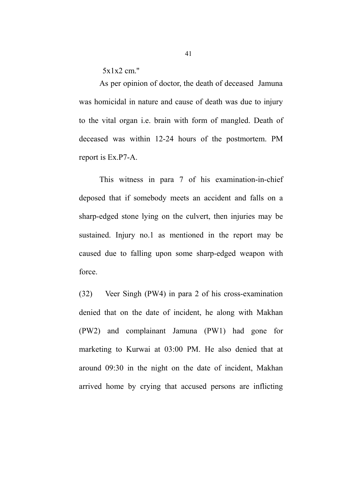5x1x2 cm.''

As per opinion of doctor, the death of deceased Jamuna was homicidal in nature and cause of death was due to injury to the vital organ i.e. brain with form of mangled. Death of deceased was within 12-24 hours of the postmortem. PM report is Ex.P7-A.

This witness in para 7 of his examination-in-chief deposed that if somebody meets an accident and falls on a sharp-edged stone lying on the culvert, then injuries may be sustained. Injury no.1 as mentioned in the report may be caused due to falling upon some sharp-edged weapon with force.

(32) Veer Singh (PW4) in para 2 of his cross-examination denied that on the date of incident, he along with Makhan (PW2) and complainant Jamuna (PW1) had gone for marketing to Kurwai at 03:00 PM. He also denied that at around 09:30 in the night on the date of incident, Makhan arrived home by crying that accused persons are inflicting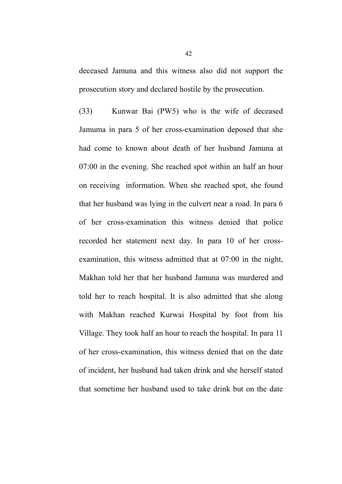deceased Jamuna and this witness also did not support the prosecution story and declared hostile by the prosecution.

(33) Kunwar Bai (PW5) who is the wife of deceased Jamuma in para 5 of her cross-examination deposed that she had come to known about death of her husband Jamuna at 07:00 in the evening. She reached spot within an half an hour on receiving information. When she reached spot, she found that her husband was lying in the culvert near a road. In para 6 of her cross-examination this witness denied that police recorded her statement next day. In para 10 of her crossexamination, this witness admitted that at 07:00 in the night, Makhan told her that her husband Jamuna was murdered and told her to reach hospital. It is also admitted that she along with Makhan reached Kurwai Hospital by foot from his Village. They took half an hour to reach the hospital. In para 11 of her cross-examination, this witness denied that on the date of incident, her husband had taken drink and she herself stated that sometime her husband used to take drink but on the date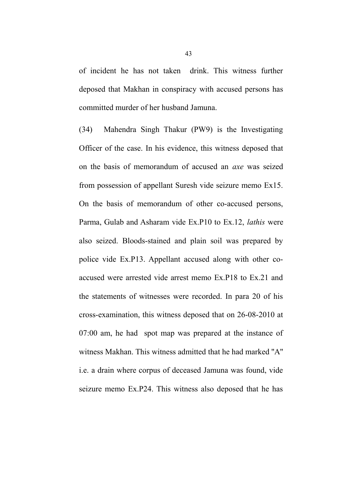of incident he has not taken drink. This witness further deposed that Makhan in conspiracy with accused persons has committed murder of her husband Jamuna.

(34) Mahendra Singh Thakur (PW9) is the Investigating Officer of the case. In his evidence, this witness deposed that on the basis of memorandum of accused an *axe* was seized from possession of appellant Suresh vide seizure memo Ex15. On the basis of memorandum of other co-accused persons, Parma, Gulab and Asharam vide Ex.P10 to Ex.12, *lathis* were also seized. Bloods-stained and plain soil was prepared by police vide Ex.P13. Appellant accused along with other coaccused were arrested vide arrest memo Ex.P18 to Ex.21 and the statements of witnesses were recorded. In para 20 of his cross-examination, this witness deposed that on 26-08-2010 at 07:00 am, he had spot map was prepared at the instance of witness Makhan. This witness admitted that he had marked ''A'' i.e. a drain where corpus of deceased Jamuna was found, vide seizure memo Ex.P24. This witness also deposed that he has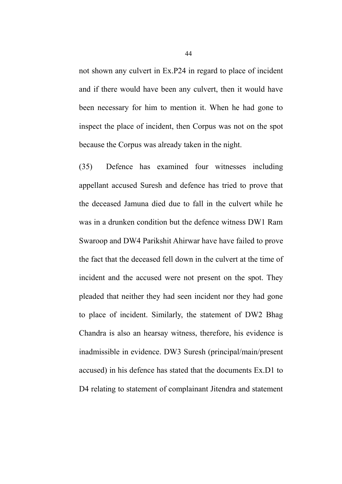not shown any culvert in Ex.P24 in regard to place of incident and if there would have been any culvert, then it would have been necessary for him to mention it. When he had gone to inspect the place of incident, then Corpus was not on the spot because the Corpus was already taken in the night.

(35) Defence has examined four witnesses including appellant accused Suresh and defence has tried to prove that the deceased Jamuna died due to fall in the culvert while he was in a drunken condition but the defence witness DW1 Ram Swaroop and DW4 Parikshit Ahirwar have have failed to prove the fact that the deceased fell down in the culvert at the time of incident and the accused were not present on the spot. They pleaded that neither they had seen incident nor they had gone to place of incident. Similarly, the statement of DW2 Bhag Chandra is also an hearsay witness, therefore, his evidence is inadmissible in evidence. DW3 Suresh (principal/main/present accused) in his defence has stated that the documents Ex.D1 to D4 relating to statement of complainant Jitendra and statement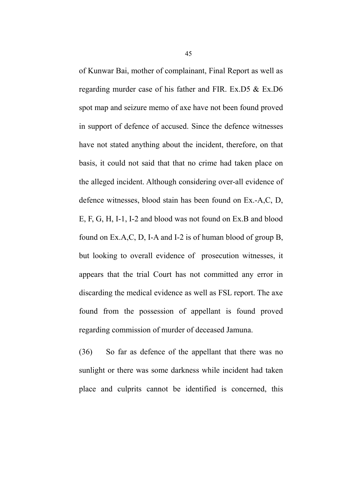of Kunwar Bai, mother of complainant, Final Report as well as regarding murder case of his father and FIR. Ex.D5 & Ex.D6 spot map and seizure memo of axe have not been found proved in support of defence of accused. Since the defence witnesses have not stated anything about the incident, therefore, on that basis, it could not said that that no crime had taken place on the alleged incident. Although considering over-all evidence of defence witnesses, blood stain has been found on Ex.-A,C, D, E, F, G, H, I-1, I-2 and blood was not found on Ex.B and blood found on Ex.A,C, D, I-A and I-2 is of human blood of group B, but looking to overall evidence of prosecution witnesses, it appears that the trial Court has not committed any error in discarding the medical evidence as well as FSL report. The axe found from the possession of appellant is found proved regarding commission of murder of deceased Jamuna.

(36) So far as defence of the appellant that there was no sunlight or there was some darkness while incident had taken place and culprits cannot be identified is concerned, this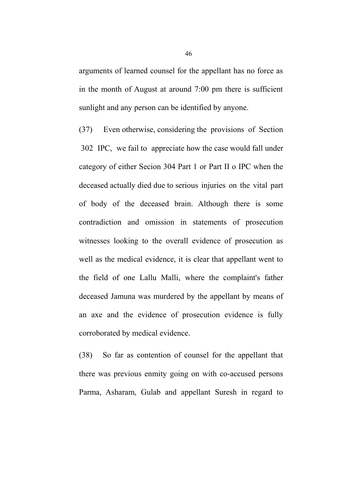arguments of learned counsel for the appellant has no force as in the month of August at around 7:00 pm there is sufficient sunlight and any person can be identified by anyone.

(37) Even otherwise, considering the provisions of Section 302 IPC, we fail to appreciate how the case would fall under category of either Secion 304 Part 1 or Part II o IPC when the deceased actually died due to serious injuries on the vital part of body of the deceased brain. Although there is some contradiction and omission in statements of prosecution witnesses looking to the overall evidence of prosecution as well as the medical evidence, it is clear that appellant went to the field of one Lallu Malli, where the complaint's father deceased Jamuna was murdered by the appellant by means of an axe and the evidence of prosecution evidence is fully corroborated by medical evidence.

(38) So far as contention of counsel for the appellant that there was previous enmity going on with co-accused persons Parma, Asharam, Gulab and appellant Suresh in regard to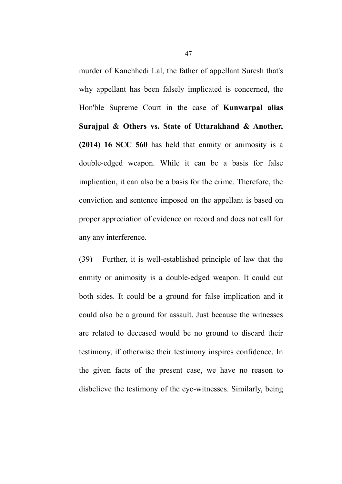murder of Kanchhedi Lal, the father of appellant Suresh that's why appellant has been falsely implicated is concerned, the Hon'ble Supreme Court in the case of **Kunwarpal alias Surajpal & Others vs. State of Uttarakhand & Another, (2014) 16 SCC 560** has held that enmity or animosity is a double-edged weapon. While it can be a basis for false implication, it can also be a basis for the crime. Therefore, the conviction and sentence imposed on the appellant is based on proper appreciation of evidence on record and does not call for any any interference.

(39) Further, it is well-established principle of law that the enmity or animosity is a double-edged weapon. It could cut both sides. It could be a ground for false implication and it could also be a ground for assault. Just because the witnesses are related to deceased would be no ground to discard their testimony, if otherwise their testimony inspires confidence. In the given facts of the present case, we have no reason to disbelieve the testimony of the eye-witnesses. Similarly, being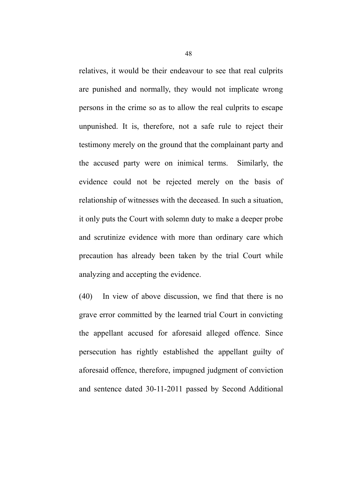relatives, it would be their endeavour to see that real culprits are punished and normally, they would not implicate wrong persons in the crime so as to allow the real culprits to escape unpunished. It is, therefore, not a safe rule to reject their testimony merely on the ground that the complainant party and the accused party were on inimical terms. Similarly, the evidence could not be rejected merely on the basis of relationship of witnesses with the deceased. In such a situation, it only puts the Court with solemn duty to make a deeper probe and scrutinize evidence with more than ordinary care which precaution has already been taken by the trial Court while analyzing and accepting the evidence.

(40) In view of above discussion, we find that there is no grave error committed by the learned trial Court in convicting the appellant accused for aforesaid alleged offence. Since persecution has rightly established the appellant guilty of aforesaid offence, therefore, impugned judgment of conviction and sentence dated 30-11-2011 passed by Second Additional